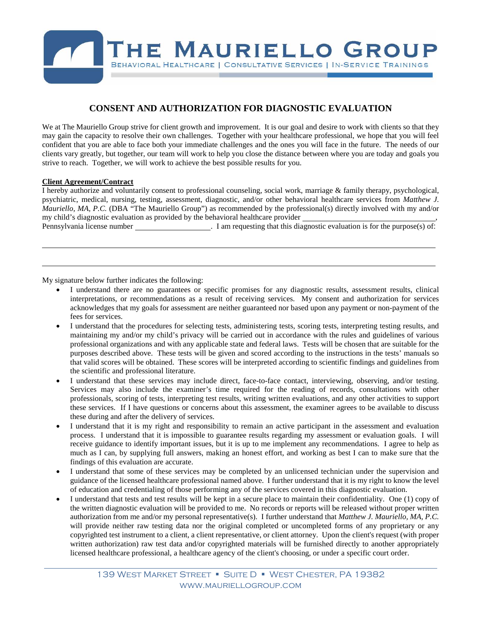

## **CONSENT AND AUTHORIZATION FOR DIAGNOSTIC EVALUATION**

We at The Mauriello Group strive for client growth and improvement. It is our goal and desire to work with clients so that they may gain the capacity to resolve their own challenges. Together with your healthcare professional, we hope that you will feel confident that you are able to face both your immediate challenges and the ones you will face in the future. The needs of our clients vary greatly, but together, our team will work to help you close the distance between where you are today and goals you strive to reach. Together, we will work to achieve the best possible results for you.

### **Client Agreement/Contract**

I hereby authorize and voluntarily consent to professional counseling, social work, marriage & family therapy, psychological, psychiatric, medical, nursing, testing, assessment, diagnostic, and/or other behavioral healthcare services from *Matthew J. Mauriello, MA, P.C.* (DBA "The Mauriello Group") as recommended by the professional(s) directly involved with my and/or my child's diagnostic evaluation as provided by the behavioral healthcare provider \_

Pennsylvania license number . I am requesting that this diagnostic evaluation is for the purpose(s) of:

My signature below further indicates the following:

- I understand there are no guarantees or specific promises for any diagnostic results, assessment results, clinical interpretations, or recommendations as a result of receiving services. My consent and authorization for services acknowledges that my goals for assessment are neither guaranteed nor based upon any payment or non-payment of the fees for services.
- I understand that the procedures for selecting tests, administering tests, scoring tests, interpreting testing results, and maintaining my and/or my child's privacy will be carried out in accordance with the rules and guidelines of various professional organizations and with any applicable state and federal laws. Tests will be chosen that are suitable for the purposes described above. These tests will be given and scored according to the instructions in the tests' manuals so that valid scores will be obtained. These scores will be interpreted according to scientific findings and guidelines from the scientific and professional literature.
- I understand that these services may include direct, face-to-face contact, interviewing, observing, and/or testing. Services may also include the examiner's time required for the reading of records, consultations with other professionals, scoring of tests, interpreting test results, writing written evaluations, and any other activities to support these services. If I have questions or concerns about this assessment, the examiner agrees to be available to discuss these during and after the delivery of services.
- I understand that it is my right and responsibility to remain an active participant in the assessment and evaluation process. I understand that it is impossible to guarantee results regarding my assessment or evaluation goals. I will receive guidance to identify important issues, but it is up to me implement any recommendations. I agree to help as much as I can, by supplying full answers, making an honest effort, and working as best I can to make sure that the findings of this evaluation are accurate.
- I understand that some of these services may be completed by an unlicensed technician under the supervision and guidance of the licensed healthcare professional named above. I further understand that it is my right to know the level of education and credentialing of those performing any of the services covered in this diagnostic evaluation.
- I understand that tests and test results will be kept in a secure place to maintain their confidentiality. One (1) copy of the written diagnostic evaluation will be provided to me. No records or reports will be released without proper written authorization from me and/or my personal representative(s). I further understand that *Matthew J. Mauriello, MA, P.C.*  will provide neither raw testing data nor the original completed or uncompleted forms of any proprietary or any copyrighted test instrument to a client, a client representative, or client attorney. Upon the client's request (with proper written authorization) raw test data and/or copyrighted materials will be furnished directly to another appropriately licensed healthcare professional, a healthcare agency of the client's choosing, or under a specific court order.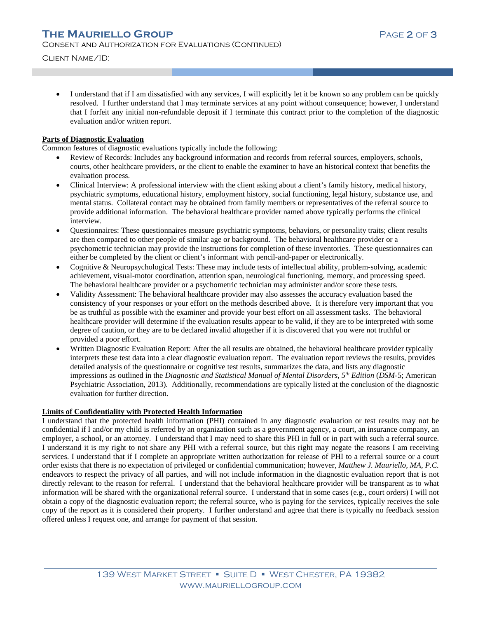Client Name/ID:

• I understand that if I am dissatisfied with any services, I will explicitly let it be known so any problem can be quickly resolved. I further understand that I may terminate services at any point without consequence; however, I understand that I forfeit any initial non-refundable deposit if I terminate this contract prior to the completion of the diagnostic evaluation and/or written report.

### **Parts of Diagnostic Evaluation**

Common features of diagnostic evaluations typically include the following:

- Review of Records: Includes any background information and records from referral sources, employers, schools, courts, other healthcare providers, or the client to enable the examiner to have an historical context that benefits the evaluation process.
- Clinical Interview: A professional interview with the client asking about a client's family history, medical history, psychiatric symptoms, educational history, employment history, social functioning, legal history, substance use, and mental status. Collateral contact may be obtained from family members or representatives of the referral source to provide additional information. The behavioral healthcare provider named above typically performs the clinical interview.
- Questionnaires: These questionnaires measure psychiatric symptoms, behaviors, or personality traits; client results are then compared to other people of similar age or background. The behavioral healthcare provider or a psychometric technician may provide the instructions for completion of these inventories. These questionnaires can either be completed by the client or client's informant with pencil-and-paper or electronically.
- Cognitive & Neuropsychological Tests: These may include tests of intellectual ability, problem-solving, academic achievement, visual-motor coordination, attention span, neurological functioning, memory, and processing speed. The behavioral healthcare provider or a psychometric technician may administer and/or score these tests.
- Validity Assessment: The behavioral healthcare provider may also assesses the accuracy evaluation based the consistency of your responses or your effort on the methods described above. It is therefore very important that you be as truthful as possible with the examiner and provide your best effort on all assessment tasks. The behavioral healthcare provider will determine if the evaluation results appear to be valid, if they are to be interpreted with some degree of caution, or they are to be declared invalid altogether if it is discovered that you were not truthful or provided a poor effort.
- Written Diagnostic Evaluation Report: After the all results are obtained, the behavioral healthcare provider typically interprets these test data into a clear diagnostic evaluation report. The evaluation report reviews the results, provides detailed analysis of the questionnaire or cognitive test results, summarizes the data, and lists any diagnostic impressions as outlined in the *Diagnostic and Statistical Manual of Mental Disorders, 5th Edition* (*DSM-*5; American Psychiatric Association, 2013). Additionally, recommendations are typically listed at the conclusion of the diagnostic evaluation for further direction.

### **Limits of Confidentiality with Protected Health Information**

I understand that the protected health information (PHI) contained in any diagnostic evaluation or test results may not be confidential if I and/or my child is referred by an organization such as a government agency, a court, an insurance company, an employer, a school, or an attorney. I understand that I may need to share this PHI in full or in part with such a referral source. I understand it is my right to not share any PHI with a referral source, but this right may negate the reasons I am receiving services. I understand that if I complete an appropriate written authorization for release of PHI to a referral source or a court order exists that there is no expectation of privileged or confidential communication; however, *Matthew J. Mauriello, MA, P.C.* endeavors to respect the privacy of all parties, and will not include information in the diagnostic evaluation report that is not directly relevant to the reason for referral. I understand that the behavioral healthcare provider will be transparent as to what information will be shared with the organizational referral source. I understand that in some cases (e.g., court orders) I will not obtain a copy of the diagnostic evaluation report; the referral source, who is paying for the services, typically receives the sole copy of the report as it is considered their property. I further understand and agree that there is typically no feedback session offered unless I request one, and arrange for payment of that session.